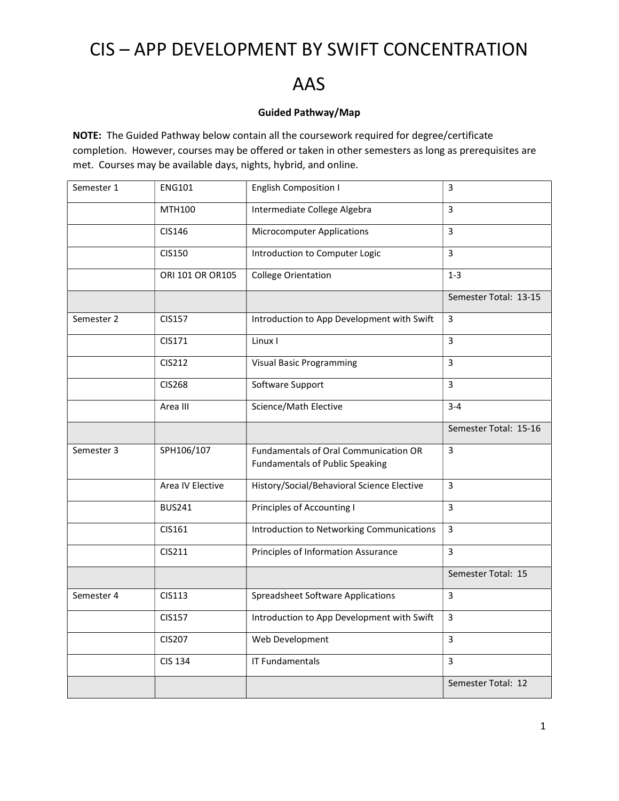# CIS – APP DEVELOPMENT BY SWIFT CONCENTRATION

### AAS

#### Guided Pathway/Map

NOTE: The Guided Pathway below contain all the coursework required for degree/certificate completion. However, courses may be offered or taken in other semesters as long as prerequisites are met. Courses may be available days, nights, hybrid, and online.

| Semester 1 | <b>ENG101</b>    | <b>English Composition I</b>                                                    | 3                     |
|------------|------------------|---------------------------------------------------------------------------------|-----------------------|
|            | <b>MTH100</b>    | Intermediate College Algebra                                                    | 3                     |
|            | CIS146           | <b>Microcomputer Applications</b>                                               | 3                     |
|            | <b>CIS150</b>    | Introduction to Computer Logic                                                  | 3                     |
|            | ORI 101 OR OR105 | <b>College Orientation</b>                                                      | $1 - 3$               |
|            |                  |                                                                                 | Semester Total: 13-15 |
| Semester 2 | <b>CIS157</b>    | Introduction to App Development with Swift                                      | $\overline{3}$        |
|            | CIS171           | Linux I                                                                         | 3                     |
|            | <b>CIS212</b>    | <b>Visual Basic Programming</b>                                                 | 3                     |
|            | <b>CIS268</b>    | Software Support                                                                | 3                     |
|            | Area III         | Science/Math Elective                                                           | $3 - 4$               |
|            |                  |                                                                                 | Semester Total: 15-16 |
| Semester 3 | SPH106/107       | Fundamentals of Oral Communication OR<br><b>Fundamentals of Public Speaking</b> | 3                     |
|            | Area IV Elective | History/Social/Behavioral Science Elective                                      | 3                     |
|            | <b>BUS241</b>    | Principles of Accounting I                                                      | 3                     |
|            | CIS161           | Introduction to Networking Communications                                       | 3                     |
|            | CIS211           | Principles of Information Assurance                                             | 3                     |
|            |                  |                                                                                 | Semester Total: 15    |
| Semester 4 | CIS113           | <b>Spreadsheet Software Applications</b>                                        | 3                     |
|            | <b>CIS157</b>    | Introduction to App Development with Swift                                      | 3                     |
|            | <b>CIS207</b>    | Web Development                                                                 | 3                     |
|            | <b>CIS 134</b>   | <b>IT Fundamentals</b>                                                          | $\overline{3}$        |
|            |                  |                                                                                 | Semester Total: 12    |